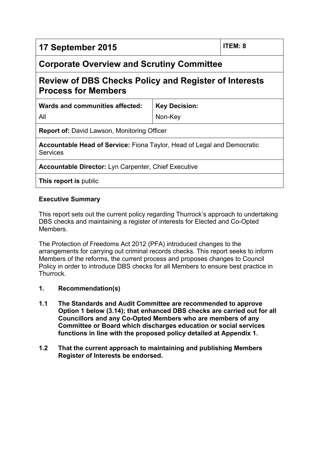| 17 September 2015                                                                                 |                      | <b>ITEM: 8</b> |
|---------------------------------------------------------------------------------------------------|----------------------|----------------|
| <b>Corporate Overview and Scrutiny Committee</b>                                                  |                      |                |
| <b>Review of DBS Checks Policy and Register of Interests</b><br><b>Process for Members</b>        |                      |                |
| Wards and communities affected:                                                                   | <b>Key Decision:</b> |                |
| All                                                                                               | Non-Key              |                |
| <b>Report of:</b> David Lawson, Monitoring Officer                                                |                      |                |
| <b>Accountable Head of Service:</b> Fiona Taylor, Head of Legal and Democratic<br><b>Services</b> |                      |                |
| Accountable Director: Lyn Carpenter, Chief Executive                                              |                      |                |
| This report is public                                                                             |                      |                |

# **Executive Summary**

This report sets out the current policy regarding Thurrock's approach to undertaking DBS checks and maintaining a register of interests for Elected and Co-Opted **Members** 

The Protection of Freedoms Act 2012 (PFA) introduced changes to the arrangements for carrying out criminal records checks. This report seeks to inform Members of the reforms, the current process and proposes changes to Council Policy in order to introduce DBS checks for all Members to ensure best practice in Thurrock.

- **1. Recommendation(s)**
- **1.1 The Standards and Audit Committee are recommended to approve Option 1 below (3.14); that enhanced DBS checks are carried out for all Councillors and any Co-Opted Members who are members of any Committee or Board which discharges education or social services functions in line with the proposed policy detailed at Appendix 1.**
- **1.2 That the current approach to maintaining and publishing Members Register of Interests be endorsed.**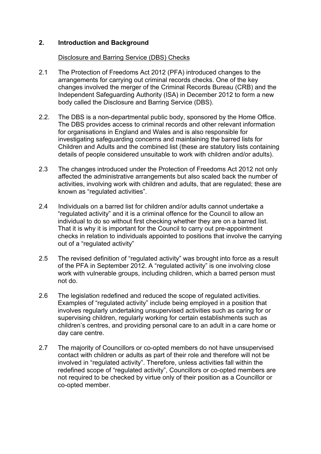# **2. Introduction and Background**

#### Disclosure and Barring Service (DBS) Checks

- 2.1 The Protection of Freedoms Act 2012 (PFA) introduced changes to the arrangements for carrying out criminal records checks. One of the key changes involved the merger of the Criminal Records Bureau (CRB) and the Independent Safeguarding Authority (ISA) in December 2012 to form a new body called the Disclosure and Barring Service (DBS).
- 2.2. The DBS is a non-departmental public body, sponsored by the Home Office. The DBS provides access to criminal records and other relevant information for organisations in England and Wales and is also responsible for investigating safeguarding concerns and maintaining the barred lists for Children and Adults and the combined list (these are statutory lists containing details of people considered unsuitable to work with children and/or adults).
- 2.3 The changes introduced under the Protection of Freedoms Act 2012 not only affected the administrative arrangements but also scaled back the number of activities, involving work with children and adults, that are regulated; these are known as "regulated activities".
- 2.4 Individuals on a barred list for children and/or adults cannot undertake a "regulated activity" and it is a criminal offence for the Council to allow an individual to do so without first checking whether they are on a barred list. That it is why it is important for the Council to carry out pre-appointment checks in relation to individuals appointed to positions that involve the carrying out of a "regulated activity"
- 2.5 The revised definition of "regulated activity" was brought into force as a result of the PFA in September 2012. A "regulated activity" is one involving close work with vulnerable groups, including children, which a barred person must not do.
- 2.6 The legislation redefined and reduced the scope of regulated activities. Examples of "regulated activity" include being employed in a position that involves regularly undertaking unsupervised activities such as caring for or supervising children, regularly working for certain establishments such as children's centres, and providing personal care to an adult in a care home or day care centre.
- 2.7 The majority of Councillors or co-opted members do not have unsupervised contact with children or adults as part of their role and therefore will not be involved in "regulated activity". Therefore, unless activities fall within the redefined scope of "regulated activity", Councillors or co-opted members are not required to be checked by virtue only of their position as a Councillor or co-opted member.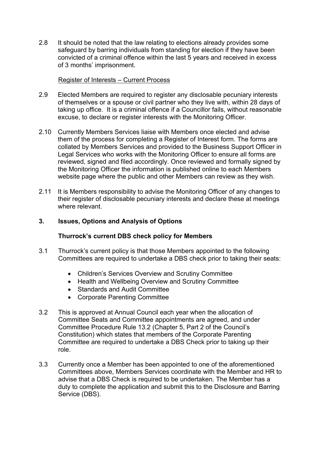2.8 It should be noted that the law relating to elections already provides some safeguard by barring individuals from standing for election if they have been convicted of a criminal offence within the last 5 years and received in excess of 3 months' imprisonment.

### Register of Interests – Current Process

- 2.9 Elected Members are required to register any disclosable pecuniary interests of themselves or a spouse or civil partner who they live with, within 28 days of taking up office. It is a criminal offence if a Councillor fails, without reasonable excuse, to declare or register interests with the Monitoring Officer.
- 2.10 Currently Members Services liaise with Members once elected and advise them of the process for completing a Register of Interest form. The forms are collated by Members Services and provided to the Business Support Officer in Legal Services who works with the Monitoring Officer to ensure all forms are reviewed, signed and filed accordingly. Once reviewed and formally signed by the Monitoring Officer the information is published online to each Members website page where the public and other Members can review as they wish.
- 2.11 It is Members responsibility to advise the Monitoring Officer of any changes to their register of disclosable pecuniary interests and declare these at meetings where relevant

#### **3. Issues, Options and Analysis of Options**

#### **Thurrock's current DBS check policy for Members**

- 3.1 Thurrock's current policy is that those Members appointed to the following Committees are required to undertake a DBS check prior to taking their seats:
	- Children's Services Overview and Scrutiny Committee
	- Health and Wellbeing Overview and Scrutiny Committee
	- Standards and Audit Committee
	- Corporate Parenting Committee
- 3.2 This is approved at Annual Council each year when the allocation of Committee Seats and Committee appointments are agreed, and under Committee Procedure Rule 13.2 (Chapter 5, Part 2 of the Council's Constitution) which states that members of the Corporate Parenting Committee are required to undertake a DBS Check prior to taking up their role.
- 3.3 Currently once a Member has been appointed to one of the aforementioned Committees above, Members Services coordinate with the Member and HR to advise that a DBS Check is required to be undertaken. The Member has a duty to complete the application and submit this to the Disclosure and Barring Service (DBS).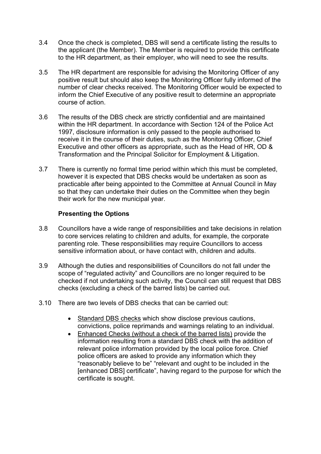- 3.4 Once the check is completed, DBS will send a certificate listing the results to the applicant (the Member). The Member is required to provide this certificate to the HR department, as their employer, who will need to see the results.
- 3.5 The HR department are responsible for advising the Monitoring Officer of any positive result but should also keep the Monitoring Officer fully informed of the number of clear checks received. The Monitoring Officer would be expected to inform the Chief Executive of any positive result to determine an appropriate course of action.
- 3.6 The results of the DBS check are strictly confidential and are maintained within the HR department. In accordance with Section 124 of the Police Act 1997, disclosure information is only passed to the people authorised to receive it in the course of their duties, such as the Monitoring Officer, Chief Executive and other officers as appropriate, such as the Head of HR, OD & Transformation and the Principal Solicitor for Employment & Litigation.
- 3.7 There is currently no formal time period within which this must be completed, however it is expected that DBS checks would be undertaken as soon as practicable after being appointed to the Committee at Annual Council in May so that they can undertake their duties on the Committee when they begin their work for the new municipal year.

### **Presenting the Options**

- 3.8 Councillors have a wide range of responsibilities and take decisions in relation to core services relating to children and adults, for example, the corporate parenting role. These responsibilities may require Councillors to access sensitive information about, or have contact with, children and adults.
- 3.9 Although the duties and responsibilities of Councillors do not fall under the scope of "regulated activity" and Councillors are no longer required to be checked if not undertaking such activity, the Council can still request that DBS checks (excluding a check of the barred lists) be carried out.
- 3.10 There are two levels of DBS checks that can be carried out:
	- Standard DBS checks which show disclose previous cautions, convictions, police reprimands and warnings relating to an individual.
	- Enhanced Checks (without a check of the barred lists) provide the information resulting from a standard DBS check with the addition of relevant police information provided by the local police force. Chief police officers are asked to provide any information which they "reasonably believe to be" "relevant and ought to be included in the [enhanced DBS] certificate", having regard to the purpose for which the certificate is sought.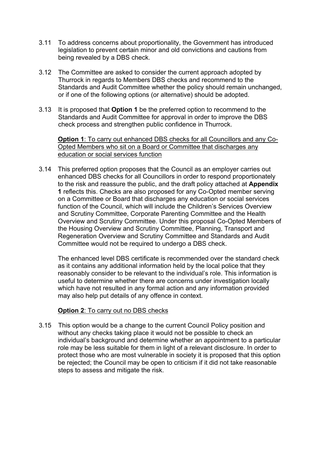- 3.11 To address concerns about proportionality, the Government has introduced legislation to prevent certain minor and old convictions and cautions from being revealed by a DBS check.
- 3.12 The Committee are asked to consider the current approach adopted by Thurrock in regards to Members DBS checks and recommend to the Standards and Audit Committee whether the policy should remain unchanged, or if one of the following options (or alternative) should be adopted.
- 3.13 It is proposed that **Option 1** be the preferred option to recommend to the Standards and Audit Committee for approval in order to improve the DBS check process and strengthen public confidence in Thurrock.

**Option 1**: To carry out enhanced DBS checks for all Councillors and any Co-Opted Members who sit on a Board or Committee that discharges any education or social services function

3.14 This preferred option proposes that the Council as an employer carries out enhanced DBS checks for all Councillors in order to respond proportionately to the risk and reassure the public, and the draft policy attached at **Appendix 1** reflects this. Checks are also proposed for any Co-Opted member serving on a Committee or Board that discharges any education or social services function of the Council, which will include the Children's Services Overview and Scrutiny Committee, Corporate Parenting Committee and the Health Overview and Scrutiny Committee. Under this proposal Co-Opted Members of the Housing Overview and Scrutiny Committee, Planning, Transport and Regeneration Overview and Scrutiny Committee and Standards and Audit Committee would not be required to undergo a DBS check.

The enhanced level DBS certificate is recommended over the standard check as it contains any additional information held by the local police that they reasonably consider to be relevant to the individual's role. This information is useful to determine whether there are concerns under investigation locally which have not resulted in any formal action and any information provided may also help put details of any offence in context.

### **Option 2**: To carry out no DBS checks

3.15 This option would be a change to the current Council Policy position and without any checks taking place it would not be possible to check an individual's background and determine whether an appointment to a particular role may be less suitable for them in light of a relevant disclosure. In order to protect those who are most vulnerable in society it is proposed that this option be rejected; the Council may be open to criticism if it did not take reasonable steps to assess and mitigate the risk.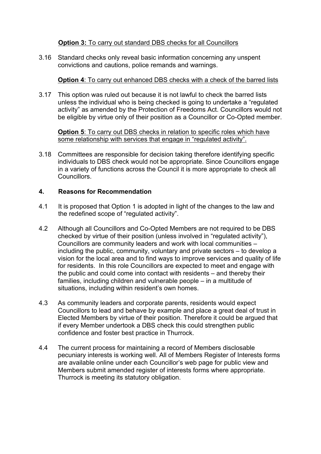# **Option 3:** To carry out standard DBS checks for all Councillors

3.16 Standard checks only reveal basic information concerning any unspent convictions and cautions, police remands and warnings.

# **Option 4**: To carry out enhanced DBS checks with a check of the barred lists

3.17 This option was ruled out because it is not lawful to check the barred lists unless the individual who is being checked is going to undertake a "regulated activity" as amended by the Protection of Freedoms Act. Councillors would not be eligible by virtue only of their position as a Councillor or Co-Opted member.

**Option 5**: To carry out DBS checks in relation to specific roles which have some relationship with services that engage in "regulated activity".

3.18 Committees are responsible for decision taking therefore identifying specific individuals to DBS check would not be appropriate. Since Councillors engage in a variety of functions across the Council it is more appropriate to check all Councillors.

# **4. Reasons for Recommendation**

- 4.1 It is proposed that Option 1 is adopted in light of the changes to the law and the redefined scope of "regulated activity".
- 4.2 Although all Councillors and Co-Opted Members are not required to be DBS checked by virtue of their position (unless involved in "regulated activity"), Councillors are community leaders and work with local communities – including the public, community, voluntary and private sectors – to develop a vision for the local area and to find ways to improve services and quality of life for residents. In this role Councillors are expected to meet and engage with the public and could come into contact with residents – and thereby their families, including children and vulnerable people – in a multitude of situations, including within resident's own homes.
- 4.3 As community leaders and corporate parents, residents would expect Councillors to lead and behave by example and place a great deal of trust in Elected Members by virtue of their position. Therefore it could be argued that if every Member undertook a DBS check this could strengthen public confidence and foster best practice in Thurrock.
- 4.4 The current process for maintaining a record of Members disclosable pecuniary interests is working well. All of Members Register of Interests forms are available online under each Councillor's web page for public view and Members submit amended register of interests forms where appropriate. Thurrock is meeting its statutory obligation.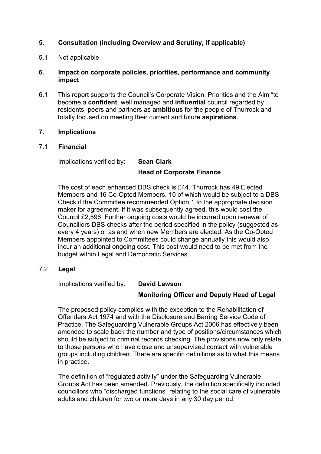# **5. Consultation (including Overview and Scrutiny, if applicable)**

5.1 Not applicable.

### **6. Impact on corporate policies, priorities, performance and community impact**

6.1 This report supports the Council's Corporate Vision, Priorities and the Aim "to become a **confident**, well managed and **influential** council regarded by residents, peers and partners as **ambitious** for the people of Thurrock and totally focused on meeting their current and future **aspirations**."

#### **7. Implications**

#### 7.1 **Financial**

Implications verified by: **Sean Clark**

# **Head of Corporate Finance**

The cost of each enhanced DBS check is £44. Thurrock has 49 Elected Members and 16 Co-Opted Members, 10 of which would be subject to a DBS Check if the Committee recommended Option 1 to the appropriate decision maker for agreement. If it was subsequently agreed, this would cost the Council £2,596. Further ongoing costs would be incurred upon renewal of Councillors DBS checks after the period specified in the policy (suggested as every 4 years) or as and when new Members are elected. As the Co-Opted Members appointed to Committees could change annually this would also incur an additional ongoing cost. This cost would need to be met from the budget within Legal and Democratic Services.

### 7.2 **Legal**

Implications verified by: **David Lawson**

### **Monitoring Officer and Deputy Head of Legal**

The proposed policy complies with the exception to the Rehabilitation of Offenders Act 1974 and with the Disclosure and Barring Service Code of Practice. The Safeguarding Vulnerable Groups Act 2006 has effectively been amended to scale back the number and type of positions/circumstances which should be subject to criminal records checking. The provisions now only relate to those persons who have close and unsupervised contact with vulnerable groups including children. There are specific definitions as to what this means in practice.

The definition of "regulated activity" under the Safeguarding Vulnerable Groups Act has been amended. Previously, the definition specifically included councillors who "discharged functions" relating to the social care of vulnerable adults and children for two or more days in any 30 day period.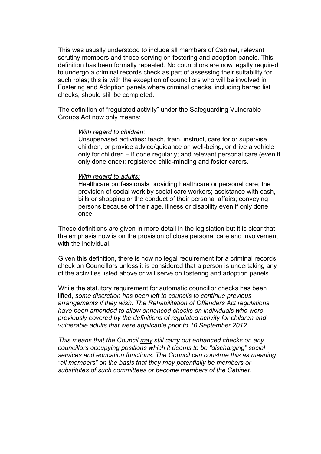This was usually understood to include all members of Cabinet, relevant scrutiny members and those serving on fostering and adoption panels. This definition has been formally repealed. No councillors are now legally required to undergo a criminal records check as part of assessing their suitability for such roles; this is with the exception of councillors who will be involved in Fostering and Adoption panels where criminal checks, including barred list checks, should still be completed.

The definition of "regulated activity" under the Safeguarding Vulnerable Groups Act now only means:

#### *With regard to children:*

Unsupervised activities: teach, train, instruct, care for or supervise children, or provide advice/guidance on well-being, or drive a vehicle only for children – if done regularly; and relevant personal care (even if only done once); registered child-minding and foster carers.

#### *With regard to adults:*

Healthcare professionals providing healthcare or personal care; the provision of social work by social care workers; assistance with cash, bills or shopping or the conduct of their personal affairs; conveying persons because of their age, illness or disability even if only done once.

These definitions are given in more detail in the legislation but it is clear that the emphasis now is on the provision of close personal care and involvement with the individual.

Given this definition, there is now no legal requirement for a criminal records check on Councillors unless it is considered that a person is undertaking any of the activities listed above or will serve on fostering and adoption panels.

While the statutory requirement for automatic councillor checks has been lifted, *some discretion has been left to councils to continue previous arrangements if they wish. The Rehabilitation of Offenders Act regulations have been amended to allow enhanced checks on individuals who were previously covered by the definitions of regulated activity for children and vulnerable adults that were applicable prior to 10 September 2012.*

*This means that the Council may still carry out enhanced checks on any councillors occupying positions which it deems to be "discharging" social services and education functions. The Council can construe this as meaning "all members" on the basis that they may potentially be members or substitutes of such committees or become members of the Cabinet.*